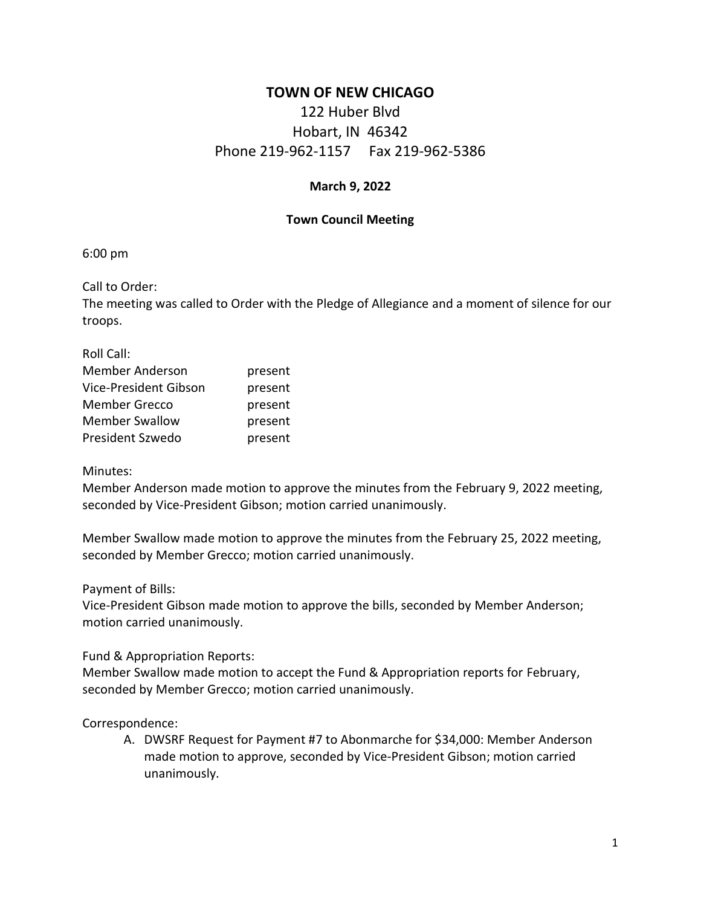## **TOWN OF NEW CHICAGO**

# 122 Huber Blvd Hobart, IN 46342 Phone 219-962-1157 Fax 219-962-5386

#### **March 9, 2022**

#### **Town Council Meeting**

6:00 pm

Call to Order:

The meeting was called to Order with the Pledge of Allegiance and a moment of silence for our troops.

| Roll Call:             |         |
|------------------------|---------|
| <b>Member Anderson</b> | present |
| Vice-President Gibson  | present |
| <b>Member Grecco</b>   | present |
| <b>Member Swallow</b>  | present |
| President Szwedo       | present |

#### Minutes:

Member Anderson made motion to approve the minutes from the February 9, 2022 meeting, seconded by Vice-President Gibson; motion carried unanimously.

Member Swallow made motion to approve the minutes from the February 25, 2022 meeting, seconded by Member Grecco; motion carried unanimously.

Payment of Bills:

Vice-President Gibson made motion to approve the bills, seconded by Member Anderson; motion carried unanimously.

Fund & Appropriation Reports:

Member Swallow made motion to accept the Fund & Appropriation reports for February, seconded by Member Grecco; motion carried unanimously.

Correspondence:

A. DWSRF Request for Payment #7 to Abonmarche for \$34,000: Member Anderson made motion to approve, seconded by Vice-President Gibson; motion carried unanimously.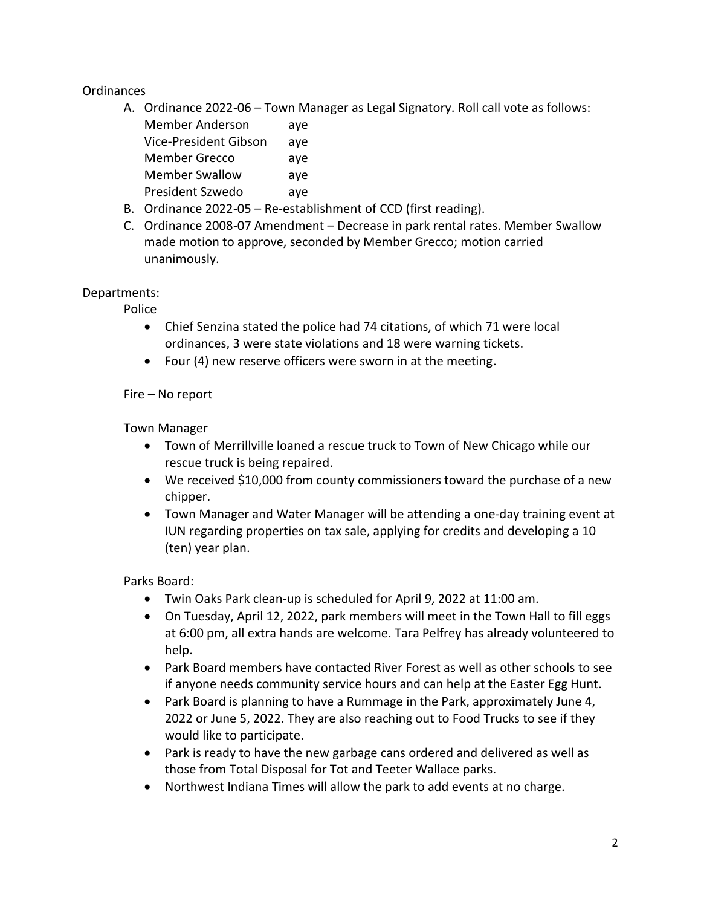## Ordinances

A. Ordinance 2022-06 – Town Manager as Legal Signatory. Roll call vote as follows:

| <b>Member Anderson</b> | aye |
|------------------------|-----|
| Vice-President Gibson  | aye |
| <b>Member Grecco</b>   | aye |
| <b>Member Swallow</b>  | aye |
| President Szwedo       | ave |

- B. Ordinance 2022-05 Re-establishment of CCD (first reading).
- C. Ordinance 2008-07 Amendment Decrease in park rental rates. Member Swallow made motion to approve, seconded by Member Grecco; motion carried unanimously.

Departments:

Police

- Chief Senzina stated the police had 74 citations, of which 71 were local ordinances, 3 were state violations and 18 were warning tickets.
- Four (4) new reserve officers were sworn in at the meeting.

Fire – No report

Town Manager

- Town of Merrillville loaned a rescue truck to Town of New Chicago while our rescue truck is being repaired.
- We received \$10,000 from county commissioners toward the purchase of a new chipper.
- Town Manager and Water Manager will be attending a one-day training event at IUN regarding properties on tax sale, applying for credits and developing a 10 (ten) year plan.

Parks Board:

- Twin Oaks Park clean-up is scheduled for April 9, 2022 at 11:00 am.
- On Tuesday, April 12, 2022, park members will meet in the Town Hall to fill eggs at 6:00 pm, all extra hands are welcome. Tara Pelfrey has already volunteered to help.
- Park Board members have contacted River Forest as well as other schools to see if anyone needs community service hours and can help at the Easter Egg Hunt.
- Park Board is planning to have a Rummage in the Park, approximately June 4, 2022 or June 5, 2022. They are also reaching out to Food Trucks to see if they would like to participate.
- Park is ready to have the new garbage cans ordered and delivered as well as those from Total Disposal for Tot and Teeter Wallace parks.
- Northwest Indiana Times will allow the park to add events at no charge.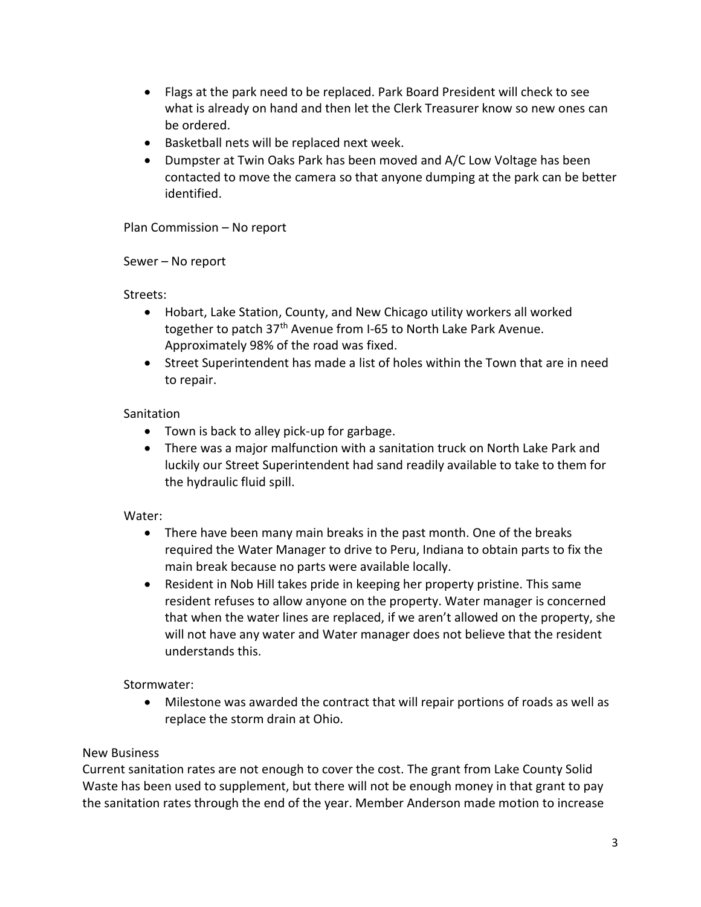- Flags at the park need to be replaced. Park Board President will check to see what is already on hand and then let the Clerk Treasurer know so new ones can be ordered.
- Basketball nets will be replaced next week.
- Dumpster at Twin Oaks Park has been moved and A/C Low Voltage has been contacted to move the camera so that anyone dumping at the park can be better identified.

Plan Commission – No report

Sewer – No report

Streets:

- Hobart, Lake Station, County, and New Chicago utility workers all worked together to patch 37<sup>th</sup> Avenue from I-65 to North Lake Park Avenue. Approximately 98% of the road was fixed.
- Street Superintendent has made a list of holes within the Town that are in need to repair.

### **Sanitation**

- Town is back to alley pick-up for garbage.
- There was a major malfunction with a sanitation truck on North Lake Park and luckily our Street Superintendent had sand readily available to take to them for the hydraulic fluid spill.

## Water:

- There have been many main breaks in the past month. One of the breaks required the Water Manager to drive to Peru, Indiana to obtain parts to fix the main break because no parts were available locally.
- Resident in Nob Hill takes pride in keeping her property pristine. This same resident refuses to allow anyone on the property. Water manager is concerned that when the water lines are replaced, if we aren't allowed on the property, she will not have any water and Water manager does not believe that the resident understands this.

Stormwater:

• Milestone was awarded the contract that will repair portions of roads as well as replace the storm drain at Ohio.

## New Business

Current sanitation rates are not enough to cover the cost. The grant from Lake County Solid Waste has been used to supplement, but there will not be enough money in that grant to pay the sanitation rates through the end of the year. Member Anderson made motion to increase